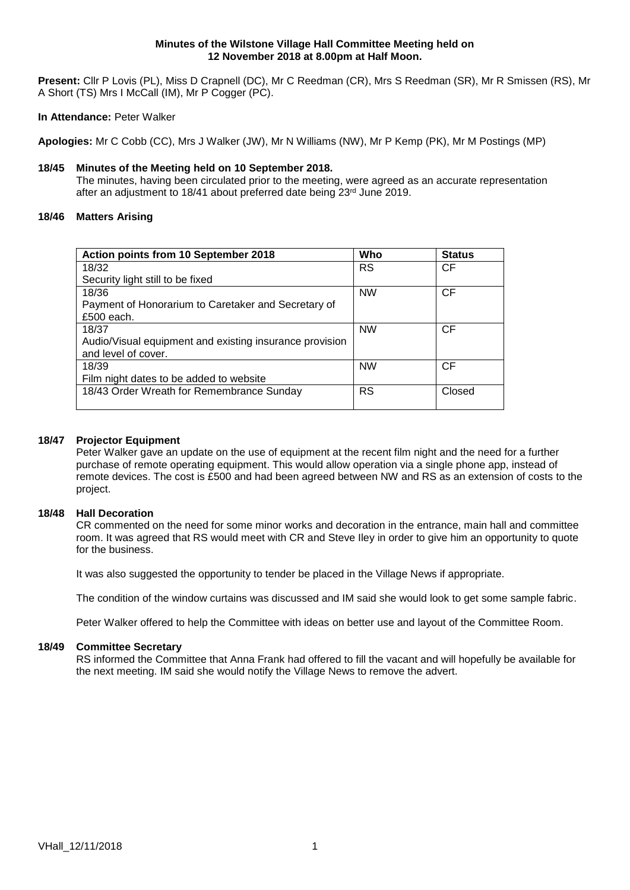#### **Minutes of the Wilstone Village Hall Committee Meeting held on 12 November 2018 at 8.00pm at Half Moon.**

**Present:** Cllr P Lovis (PL), Miss D Crapnell (DC), Mr C Reedman (CR), Mrs S Reedman (SR), Mr R Smissen (RS), Mr A Short (TS) Mrs I McCall (IM), Mr P Cogger (PC).

#### **In Attendance:** Peter Walker

**Apologies:** Mr C Cobb (CC), Mrs J Walker (JW), Mr N Williams (NW), Mr P Kemp (PK), Mr M Postings (MP)

# **18/45 Minutes of the Meeting held on 10 September 2018.**

The minutes, having been circulated prior to the meeting, were agreed as an accurate representation after an adjustment to 18/41 about preferred date being 23<sup>rd</sup> June 2019.

# **18/46 Matters Arising**

| Action points from 10 September 2018                    | Who       | <b>Status</b> |
|---------------------------------------------------------|-----------|---------------|
| 18/32                                                   | <b>RS</b> | CF            |
| Security light still to be fixed                        |           |               |
| 18/36                                                   | <b>NW</b> | <b>CF</b>     |
| Payment of Honorarium to Caretaker and Secretary of     |           |               |
| £500 each.                                              |           |               |
| 18/37                                                   | <b>NW</b> | CF            |
| Audio/Visual equipment and existing insurance provision |           |               |
| and level of cover.                                     |           |               |
| 18/39                                                   | <b>NW</b> | <b>CF</b>     |
| Film night dates to be added to website                 |           |               |
| 18/43 Order Wreath for Remembrance Sunday               | <b>RS</b> | Closed        |
|                                                         |           |               |

# **18/47 Projector Equipment**

Peter Walker gave an update on the use of equipment at the recent film night and the need for a further purchase of remote operating equipment. This would allow operation via a single phone app, instead of remote devices. The cost is £500 and had been agreed between NW and RS as an extension of costs to the project.

#### **18/48 Hall Decoration**

CR commented on the need for some minor works and decoration in the entrance, main hall and committee room. It was agreed that RS would meet with CR and Steve Iley in order to give him an opportunity to quote for the business.

It was also suggested the opportunity to tender be placed in the Village News if appropriate.

The condition of the window curtains was discussed and IM said she would look to get some sample fabric.

Peter Walker offered to help the Committee with ideas on better use and layout of the Committee Room.

#### **18/49 Committee Secretary**

RS informed the Committee that Anna Frank had offered to fill the vacant and will hopefully be available for the next meeting. IM said she would notify the Village News to remove the advert.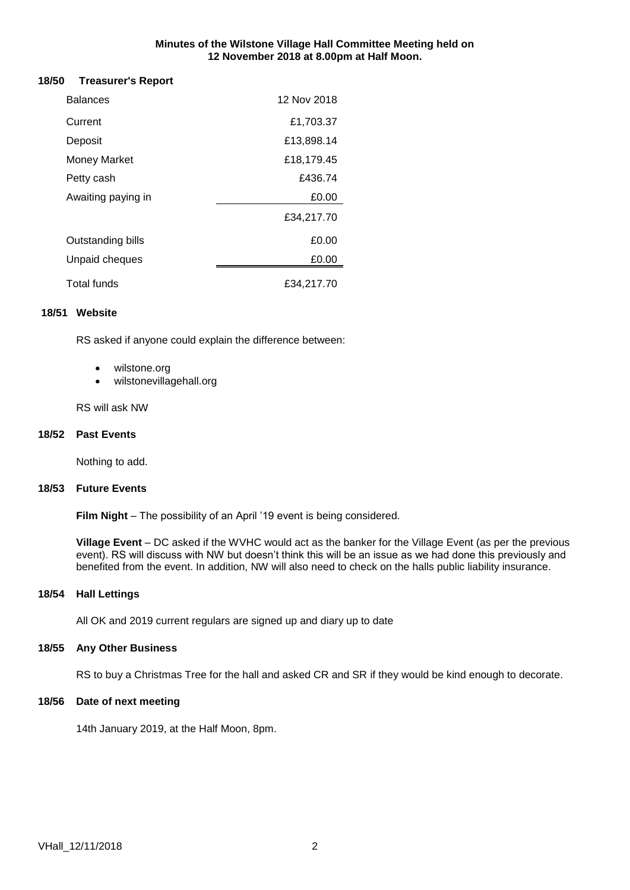#### **Minutes of the Wilstone Village Hall Committee Meeting held on 12 November 2018 at 8.00pm at Half Moon.**

#### **18/50 Treasurer's Report**

| <b>Balances</b>     | 12 Nov 2018 |  |
|---------------------|-------------|--|
| Current             | £1,703.37   |  |
| Deposit             | £13,898.14  |  |
| <b>Money Market</b> | £18,179.45  |  |
| Petty cash          | £436.74     |  |
| Awaiting paying in  | £0.00       |  |
|                     | £34,217.70  |  |
| Outstanding bills   | £0.00       |  |
| Unpaid cheques      | £0.00       |  |
| Total funds         | £34,217.70  |  |

#### **18/51 Website**

RS asked if anyone could explain the difference between:

- wilstone.org
- wilstonevillagehall.org

RS will ask NW

#### **18/52 Past Events**

Nothing to add.

#### **18/53 Future Events**

**Film Night** – The possibility of an April '19 event is being considered.

**Village Event** – DC asked if the WVHC would act as the banker for the Village Event (as per the previous event). RS will discuss with NW but doesn't think this will be an issue as we had done this previously and benefited from the event. In addition, NW will also need to check on the halls public liability insurance.

#### **18/54 Hall Lettings**

All OK and 2019 current regulars are signed up and diary up to date

#### **18/55 Any Other Business**

RS to buy a Christmas Tree for the hall and asked CR and SR if they would be kind enough to decorate.

# **18/56 Date of next meeting**

14th January 2019, at the Half Moon, 8pm.